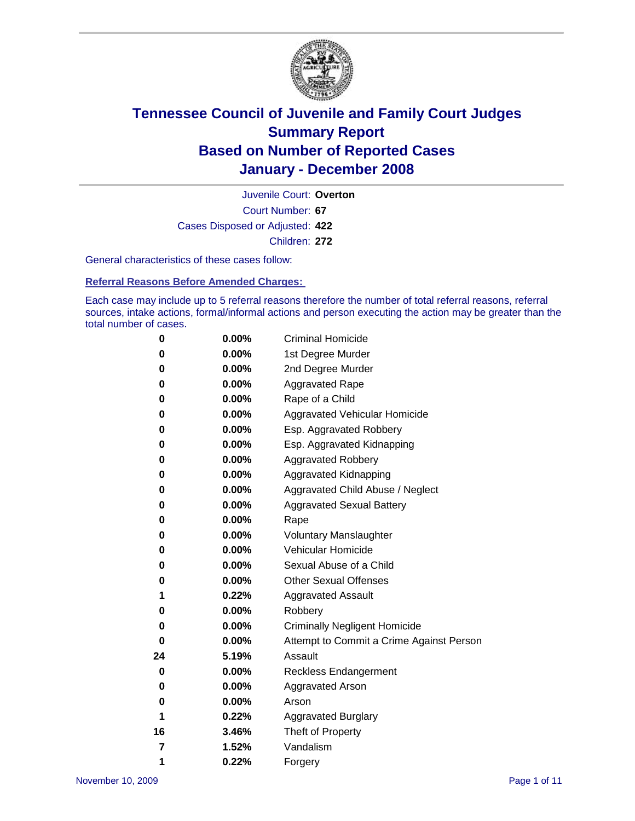

Court Number: **67** Juvenile Court: **Overton** Cases Disposed or Adjusted: **422** Children: **272**

General characteristics of these cases follow:

**Referral Reasons Before Amended Charges:** 

Each case may include up to 5 referral reasons therefore the number of total referral reasons, referral sources, intake actions, formal/informal actions and person executing the action may be greater than the total number of cases.

| 0  | 0.00%    | <b>Criminal Homicide</b>                 |
|----|----------|------------------------------------------|
| 0  | 0.00%    | 1st Degree Murder                        |
| 0  | 0.00%    | 2nd Degree Murder                        |
| 0  | 0.00%    | <b>Aggravated Rape</b>                   |
| 0  | 0.00%    | Rape of a Child                          |
| 0  | 0.00%    | Aggravated Vehicular Homicide            |
| 0  | 0.00%    | Esp. Aggravated Robbery                  |
| 0  | 0.00%    | Esp. Aggravated Kidnapping               |
| 0  | 0.00%    | <b>Aggravated Robbery</b>                |
| 0  | 0.00%    | Aggravated Kidnapping                    |
| 0  | 0.00%    | Aggravated Child Abuse / Neglect         |
| 0  | 0.00%    | <b>Aggravated Sexual Battery</b>         |
| 0  | 0.00%    | Rape                                     |
| 0  | 0.00%    | <b>Voluntary Manslaughter</b>            |
| 0  | 0.00%    | Vehicular Homicide                       |
| 0  | 0.00%    | Sexual Abuse of a Child                  |
| 0  | 0.00%    | <b>Other Sexual Offenses</b>             |
| 1  | 0.22%    | <b>Aggravated Assault</b>                |
| 0  | 0.00%    | Robbery                                  |
| 0  | 0.00%    | <b>Criminally Negligent Homicide</b>     |
| 0  | 0.00%    | Attempt to Commit a Crime Against Person |
| 24 | 5.19%    | Assault                                  |
| 0  | 0.00%    | <b>Reckless Endangerment</b>             |
| 0  | $0.00\%$ | <b>Aggravated Arson</b>                  |
| 0  | 0.00%    | Arson                                    |
| 1  | 0.22%    | <b>Aggravated Burglary</b>               |
| 16 | 3.46%    | Theft of Property                        |
| 7  | 1.52%    | Vandalism                                |
| 1  | 0.22%    | Forgery                                  |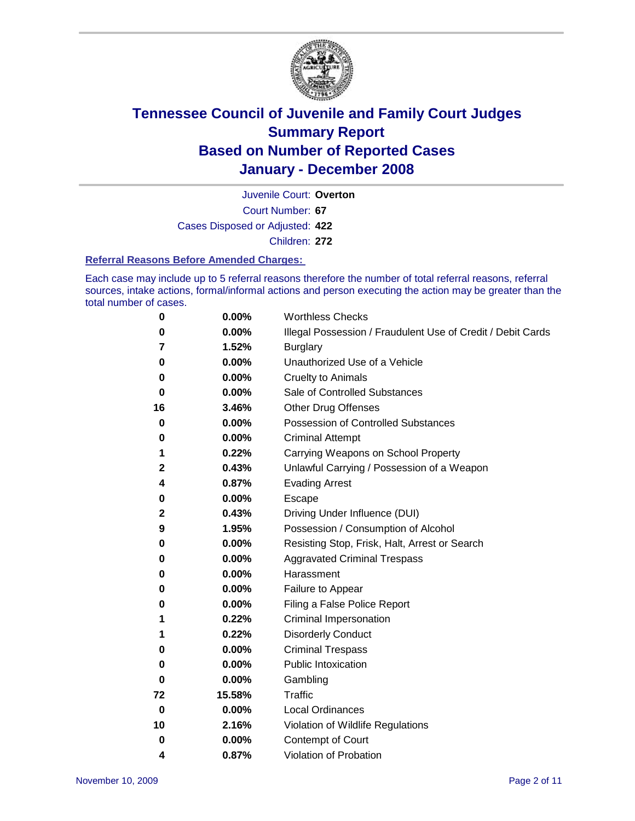

Court Number: **67** Juvenile Court: **Overton** Cases Disposed or Adjusted: **422** Children: **272**

#### **Referral Reasons Before Amended Charges:**

Each case may include up to 5 referral reasons therefore the number of total referral reasons, referral sources, intake actions, formal/informal actions and person executing the action may be greater than the total number of cases.

| 0  | 0.00%    | <b>Worthless Checks</b>                                     |
|----|----------|-------------------------------------------------------------|
| 0  | 0.00%    | Illegal Possession / Fraudulent Use of Credit / Debit Cards |
| 7  | 1.52%    | <b>Burglary</b>                                             |
| 0  | 0.00%    | Unauthorized Use of a Vehicle                               |
| 0  | 0.00%    | <b>Cruelty to Animals</b>                                   |
| 0  | 0.00%    | Sale of Controlled Substances                               |
| 16 | 3.46%    | Other Drug Offenses                                         |
| 0  | 0.00%    | <b>Possession of Controlled Substances</b>                  |
| 0  | 0.00%    | <b>Criminal Attempt</b>                                     |
| 1  | 0.22%    | Carrying Weapons on School Property                         |
| 2  | 0.43%    | Unlawful Carrying / Possession of a Weapon                  |
| 4  | 0.87%    | <b>Evading Arrest</b>                                       |
| 0  | 0.00%    | Escape                                                      |
| 2  | 0.43%    | Driving Under Influence (DUI)                               |
| 9  | 1.95%    | Possession / Consumption of Alcohol                         |
| 0  | 0.00%    | Resisting Stop, Frisk, Halt, Arrest or Search               |
| 0  | 0.00%    | <b>Aggravated Criminal Trespass</b>                         |
| 0  | 0.00%    | Harassment                                                  |
| 0  | 0.00%    | Failure to Appear                                           |
| 0  | 0.00%    | Filing a False Police Report                                |
| 1  | 0.22%    | Criminal Impersonation                                      |
| 1  | 0.22%    | <b>Disorderly Conduct</b>                                   |
| 0  | 0.00%    | <b>Criminal Trespass</b>                                    |
| 0  | 0.00%    | <b>Public Intoxication</b>                                  |
| 0  | 0.00%    | Gambling                                                    |
| 72 | 15.58%   | Traffic                                                     |
| 0  | $0.00\%$ | <b>Local Ordinances</b>                                     |
| 10 | 2.16%    | Violation of Wildlife Regulations                           |
| 0  | 0.00%    | Contempt of Court                                           |
| 4  | 0.87%    | Violation of Probation                                      |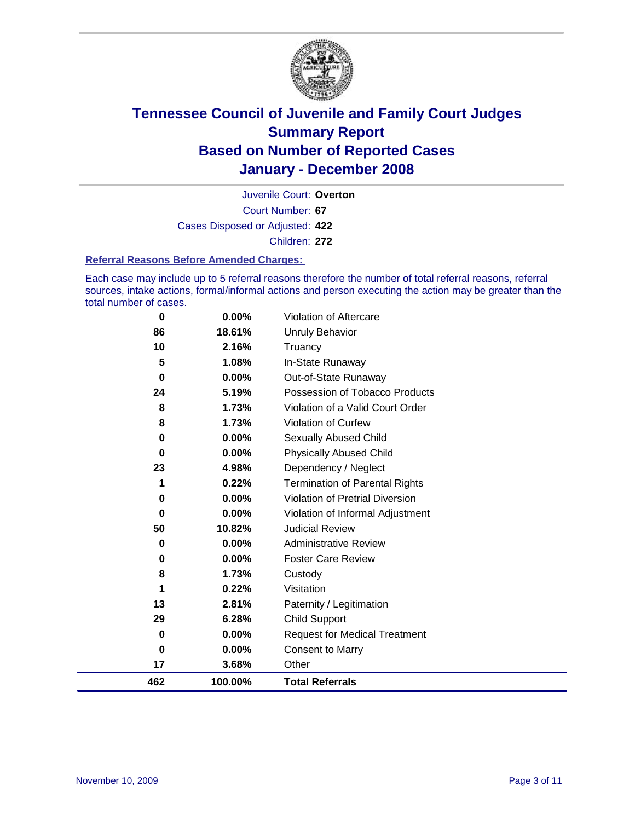

Court Number: **67** Juvenile Court: **Overton** Cases Disposed or Adjusted: **422** Children: **272**

#### **Referral Reasons Before Amended Charges:**

Each case may include up to 5 referral reasons therefore the number of total referral reasons, referral sources, intake actions, formal/informal actions and person executing the action may be greater than the total number of cases.

| 462 | 100.00%  | <b>Total Referrals</b>                 |
|-----|----------|----------------------------------------|
| 17  | 3.68%    | Other                                  |
| 0   | 0.00%    | <b>Consent to Marry</b>                |
| 0   | 0.00%    | <b>Request for Medical Treatment</b>   |
| 29  | 6.28%    | <b>Child Support</b>                   |
| 13  | 2.81%    | Paternity / Legitimation               |
| 1   | 0.22%    | Visitation                             |
| 8   | 1.73%    | Custody                                |
| 0   | 0.00%    | <b>Foster Care Review</b>              |
| 0   | 0.00%    | <b>Administrative Review</b>           |
| 50  | 10.82%   | <b>Judicial Review</b>                 |
| 0   | 0.00%    | Violation of Informal Adjustment       |
| 0   | 0.00%    | <b>Violation of Pretrial Diversion</b> |
| 1   | 0.22%    | <b>Termination of Parental Rights</b>  |
| 23  | 4.98%    | Dependency / Neglect                   |
| 0   | 0.00%    | <b>Physically Abused Child</b>         |
| 0   | $0.00\%$ | Sexually Abused Child                  |
| 8   | 1.73%    | Violation of Curfew                    |
| 8   | 1.73%    | Violation of a Valid Court Order       |
| 24  | 5.19%    | Possession of Tobacco Products         |
| 0   | 0.00%    | Out-of-State Runaway                   |
| 5   | 1.08%    | In-State Runaway                       |
| 10  | 2.16%    | Truancy                                |
| 86  | 18.61%   | <b>Unruly Behavior</b>                 |
| 0   | 0.00%    | Violation of Aftercare                 |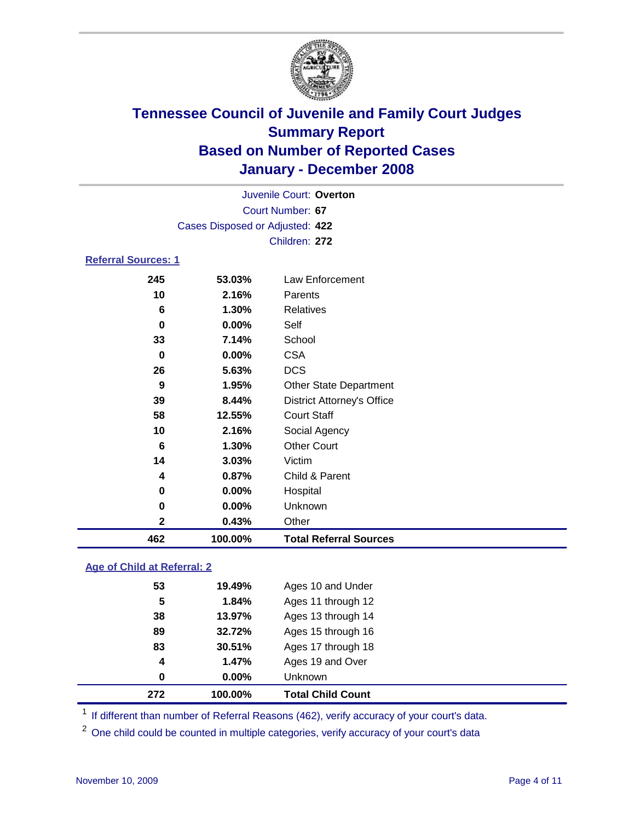

|                            |     |                                 | Juvenile Court: Overton |
|----------------------------|-----|---------------------------------|-------------------------|
|                            |     |                                 | Court Number: 67        |
|                            |     | Cases Disposed or Adjusted: 422 |                         |
|                            |     |                                 | Children: 272           |
| <b>Referral Sources: 1</b> |     |                                 |                         |
|                            | 245 | 53.03%                          | Law Enforcement         |
|                            | 10  | 2.16%                           | Parents                 |
|                            | 6   | 1.30%                           | <b>Relatives</b>        |
|                            | 0   | $0.00\%$                        | Self                    |

| 462          | 100.00%  | <b>Total Referral Sources</b>     |
|--------------|----------|-----------------------------------|
| $\mathbf{2}$ | 0.43%    | Other                             |
| 0            | 0.00%    | Unknown                           |
| 0            | 0.00%    | Hospital                          |
| 4            | 0.87%    | Child & Parent                    |
| 14           | 3.03%    | Victim                            |
| 6            | 1.30%    | <b>Other Court</b>                |
| 10           | 2.16%    | Social Agency                     |
| 58           | 12.55%   | <b>Court Staff</b>                |
| 39           | 8.44%    | <b>District Attorney's Office</b> |
| 9            | 1.95%    | <b>Other State Department</b>     |
| 26           | 5.63%    | <b>DCS</b>                        |
| 0            | $0.00\%$ | <b>CSA</b>                        |
| 33           | 7.14%    | School                            |

#### **Age of Child at Referral: 2**

| 272              | 100.00% | <b>Total Child Count</b> |
|------------------|---------|--------------------------|
| 0                | 0.00%   | <b>Unknown</b>           |
| $\boldsymbol{4}$ | 1.47%   | Ages 19 and Over         |
| 83               | 30.51%  | Ages 17 through 18       |
| 89               | 32.72%  | Ages 15 through 16       |
| 38               | 13.97%  | Ages 13 through 14       |
| 5                | 1.84%   | Ages 11 through 12       |
| 53               | 19.49%  | Ages 10 and Under        |
|                  |         |                          |

<sup>1</sup> If different than number of Referral Reasons (462), verify accuracy of your court's data.

<sup>2</sup> One child could be counted in multiple categories, verify accuracy of your court's data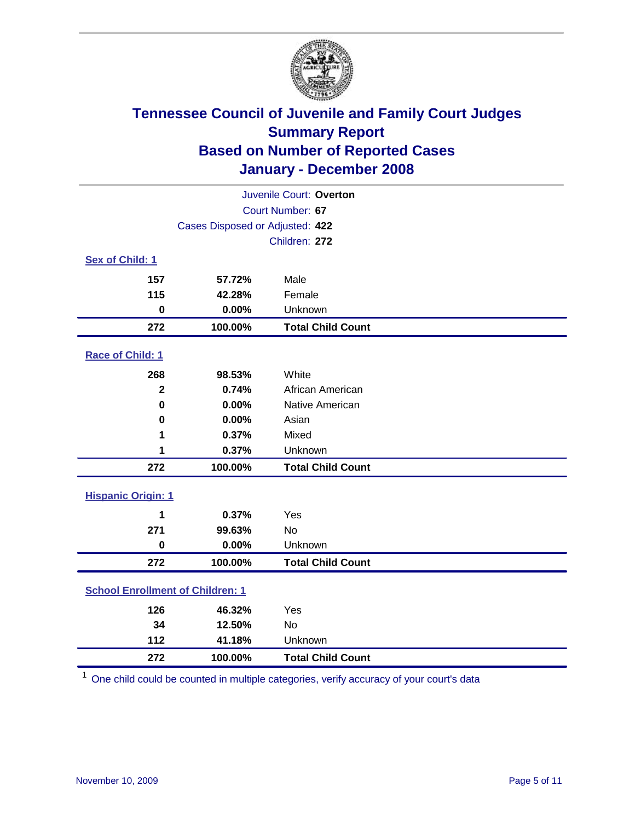

|                                         |                                 | Juvenile Court: Overton  |
|-----------------------------------------|---------------------------------|--------------------------|
|                                         |                                 | Court Number: 67         |
|                                         | Cases Disposed or Adjusted: 422 |                          |
|                                         |                                 | Children: 272            |
| Sex of Child: 1                         |                                 |                          |
| 157                                     | 57.72%                          | Male                     |
| 115                                     | 42.28%                          | Female                   |
| $\bf{0}$                                | 0.00%                           | Unknown                  |
| 272                                     | 100.00%                         | <b>Total Child Count</b> |
| Race of Child: 1                        |                                 |                          |
| 268                                     | 98.53%                          | White                    |
| $\overline{2}$                          | 0.74%                           | African American         |
| $\bf{0}$                                | 0.00%                           | Native American          |
| 0                                       | 0.00%                           | Asian                    |
| 1                                       | 0.37%                           | Mixed                    |
| 1                                       | 0.37%                           | Unknown                  |
| 272                                     | 100.00%                         | <b>Total Child Count</b> |
| <b>Hispanic Origin: 1</b>               |                                 |                          |
| 1                                       | 0.37%                           | Yes                      |
| 271                                     | 99.63%                          | <b>No</b>                |
| $\mathbf 0$                             | 0.00%                           | Unknown                  |
| 272                                     | 100.00%                         | <b>Total Child Count</b> |
| <b>School Enrollment of Children: 1</b> |                                 |                          |
| 126                                     | 46.32%                          | Yes                      |
| 34                                      | 12.50%                          | No                       |
| 112                                     | 41.18%                          | Unknown                  |
| 272                                     | 100.00%                         | <b>Total Child Count</b> |

One child could be counted in multiple categories, verify accuracy of your court's data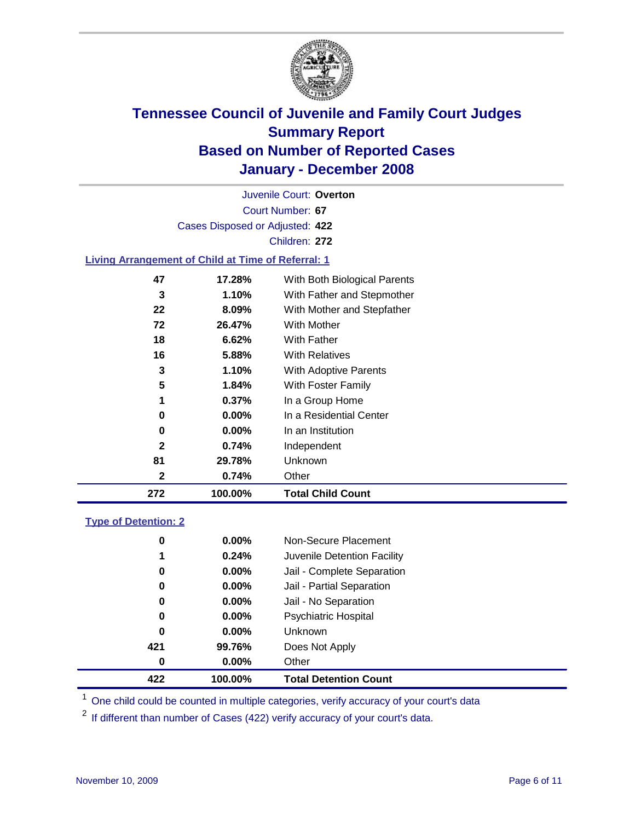

Court Number: **67** Juvenile Court: **Overton** Cases Disposed or Adjusted: **422** Children: **272**

### **Living Arrangement of Child at Time of Referral: 1**

| 272 | 100.00%  | <b>Total Child Count</b>     |
|-----|----------|------------------------------|
| 2   | 0.74%    | Other                        |
| 81  | 29.78%   | Unknown                      |
| 2   | 0.74%    | Independent                  |
| 0   | $0.00\%$ | In an Institution            |
| 0   | $0.00\%$ | In a Residential Center      |
| 1   | $0.37\%$ | In a Group Home              |
| 5   | 1.84%    | With Foster Family           |
| 3   | 1.10%    | With Adoptive Parents        |
| 16  | 5.88%    | <b>With Relatives</b>        |
| 18  | 6.62%    | <b>With Father</b>           |
| 72  | 26.47%   | With Mother                  |
| 22  | 8.09%    | With Mother and Stepfather   |
| 3   | 1.10%    | With Father and Stepmother   |
| 47  | 17.28%   | With Both Biological Parents |
|     |          |                              |

#### **Type of Detention: 2**

| 422 | 100.00%  | <b>Total Detention Count</b> |
|-----|----------|------------------------------|
| 0   | $0.00\%$ | Other                        |
| 421 | 99.76%   | Does Not Apply               |
| 0   | $0.00\%$ | <b>Unknown</b>               |
| 0   | 0.00%    | <b>Psychiatric Hospital</b>  |
| 0   | $0.00\%$ | Jail - No Separation         |
| 0   | $0.00\%$ | Jail - Partial Separation    |
| 0   | $0.00\%$ | Jail - Complete Separation   |
| 1   | 0.24%    | Juvenile Detention Facility  |
| 0   | $0.00\%$ | Non-Secure Placement         |
|     |          |                              |

<sup>1</sup> One child could be counted in multiple categories, verify accuracy of your court's data

<sup>2</sup> If different than number of Cases (422) verify accuracy of your court's data.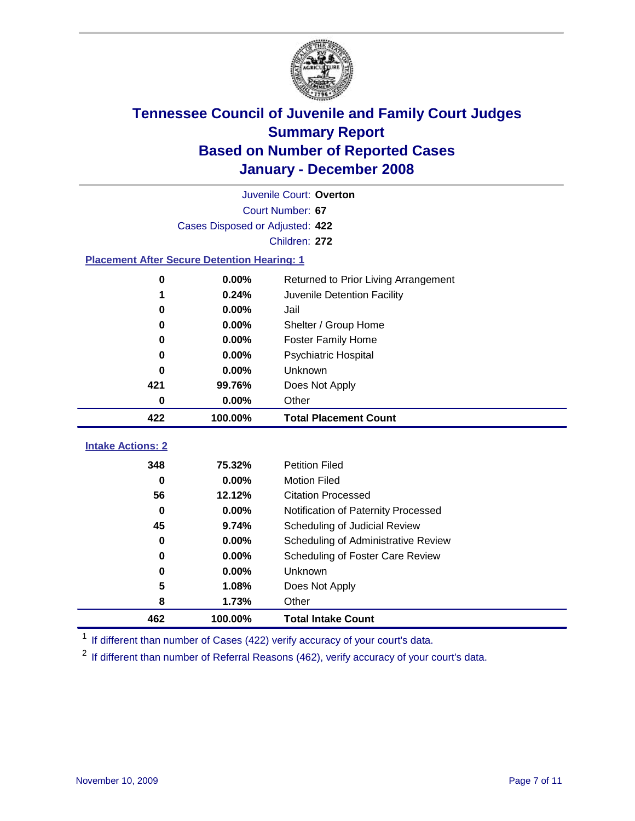

|                                                    |                                 | Juvenile Court: Overton              |
|----------------------------------------------------|---------------------------------|--------------------------------------|
|                                                    |                                 | Court Number: 67                     |
|                                                    | Cases Disposed or Adjusted: 422 |                                      |
|                                                    |                                 | Children: 272                        |
| <b>Placement After Secure Detention Hearing: 1</b> |                                 |                                      |
| $\bf{0}$                                           | 0.00%                           | Returned to Prior Living Arrangement |
| 1                                                  | 0.24%                           | Juvenile Detention Facility          |
| $\bf{0}$                                           | 0.00%                           | Jail                                 |
| 0                                                  | 0.00%                           | Shelter / Group Home                 |
| 0                                                  | 0.00%                           | <b>Foster Family Home</b>            |
| $\bf{0}$                                           | 0.00%                           | Psychiatric Hospital                 |
| 0                                                  | 0.00%                           | Unknown                              |
| 421                                                | 99.76%                          | Does Not Apply                       |
| $\bf{0}$                                           | $0.00\%$                        | Other                                |
|                                                    |                                 |                                      |
| 422                                                | 100.00%                         | <b>Total Placement Count</b>         |
| <b>Intake Actions: 2</b>                           |                                 |                                      |
| 348                                                | 75.32%                          | <b>Petition Filed</b>                |
| $\bf{0}$                                           | 0.00%                           | <b>Motion Filed</b>                  |
| 56                                                 | 12.12%                          | <b>Citation Processed</b>            |
| $\bf{0}$                                           | 0.00%                           | Notification of Paternity Processed  |
| 45                                                 | 9.74%                           | Scheduling of Judicial Review        |
| 0                                                  | 0.00%                           | Scheduling of Administrative Review  |
| 0                                                  | 0.00%                           | Scheduling of Foster Care Review     |
| 0                                                  | 0.00%                           | Unknown                              |
| 5                                                  | 1.08%                           | Does Not Apply                       |
| 8                                                  | 1.73%                           | Other                                |

<sup>1</sup> If different than number of Cases (422) verify accuracy of your court's data.

<sup>2</sup> If different than number of Referral Reasons (462), verify accuracy of your court's data.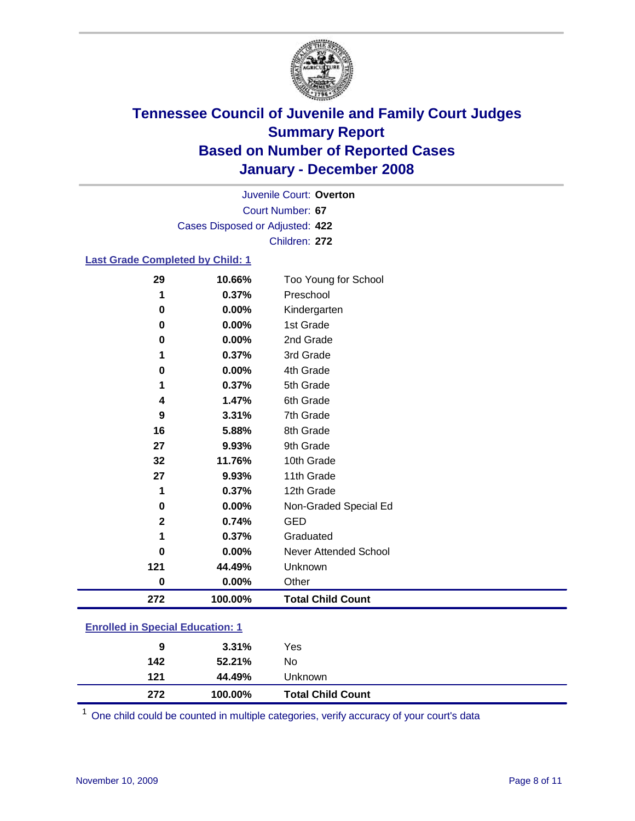

Court Number: **67** Juvenile Court: **Overton** Cases Disposed or Adjusted: **422** Children: **272**

#### **Last Grade Completed by Child: 1**

| 29           | 10.66%  | Too Young for School     |
|--------------|---------|--------------------------|
| 1            | 0.37%   | Preschool                |
| 0            | 0.00%   | Kindergarten             |
| 0            | 0.00%   | 1st Grade                |
| 0            | 0.00%   | 2nd Grade                |
|              | 0.37%   | 3rd Grade                |
| 0            | 0.00%   | 4th Grade                |
| 1            | 0.37%   | 5th Grade                |
| 4            | 1.47%   | 6th Grade                |
| 9            | 3.31%   | 7th Grade                |
| 16           | 5.88%   | 8th Grade                |
| 27           | 9.93%   | 9th Grade                |
| 32           | 11.76%  | 10th Grade               |
| 27           | 9.93%   | 11th Grade               |
| 1            | 0.37%   | 12th Grade               |
| 0            | 0.00%   | Non-Graded Special Ed    |
| $\mathbf{2}$ | 0.74%   | <b>GED</b>               |
|              | 0.37%   | Graduated                |
| 0            | 0.00%   | Never Attended School    |
| 121          | 44.49%  | Unknown                  |
| 0            | 0.00%   | Other                    |
| 272          | 100.00% | <b>Total Child Count</b> |

### **Enrolled in Special Education: 1**

<sup>1</sup> One child could be counted in multiple categories, verify accuracy of your court's data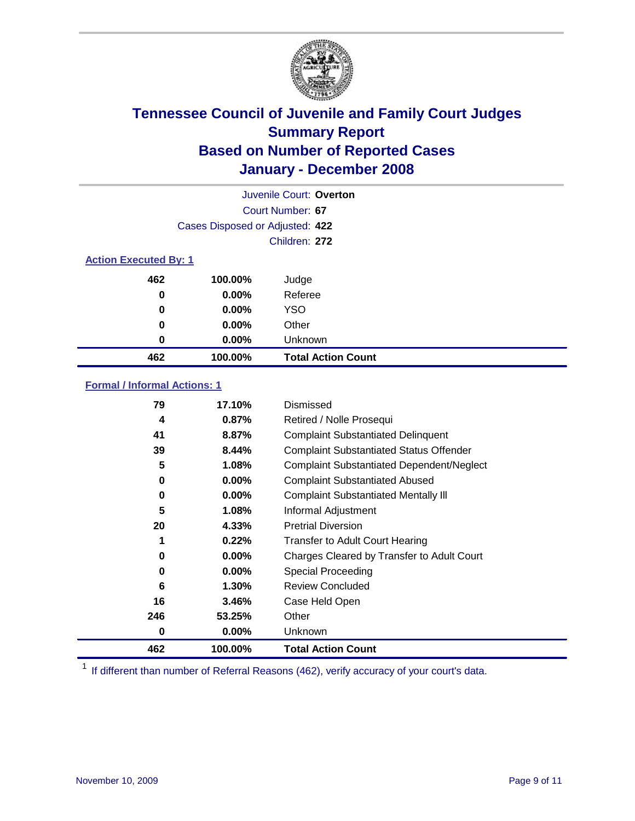

|                              |                                 | Juvenile Court: Overton   |
|------------------------------|---------------------------------|---------------------------|
|                              |                                 | Court Number: 67          |
|                              | Cases Disposed or Adjusted: 422 |                           |
|                              |                                 | Children: 272             |
| <b>Action Executed By: 1</b> |                                 |                           |
| 462                          | 100.00%                         | Judge                     |
| 0                            | $0.00\%$                        | Referee                   |
| 0                            | 0.00%                           | <b>YSO</b>                |
| 0                            | 0.00%                           | Other                     |
| 0                            | 0.00%                           | Unknown                   |
| 462                          | 100.00%                         | <b>Total Action Count</b> |

#### **Formal / Informal Actions: 1**

| 79  | 17.10%   | Dismissed                                        |
|-----|----------|--------------------------------------------------|
| 4   | 0.87%    | Retired / Nolle Prosequi                         |
| 41  | 8.87%    | <b>Complaint Substantiated Delinquent</b>        |
| 39  | 8.44%    | <b>Complaint Substantiated Status Offender</b>   |
| 5   | 1.08%    | <b>Complaint Substantiated Dependent/Neglect</b> |
| 0   | 0.00%    | <b>Complaint Substantiated Abused</b>            |
| 0   | 0.00%    | <b>Complaint Substantiated Mentally III</b>      |
| 5   | 1.08%    | Informal Adjustment                              |
| 20  | 4.33%    | <b>Pretrial Diversion</b>                        |
| 1   | 0.22%    | <b>Transfer to Adult Court Hearing</b>           |
| 0   | $0.00\%$ | Charges Cleared by Transfer to Adult Court       |
| 0   | 0.00%    | Special Proceeding                               |
| 6   | 1.30%    | <b>Review Concluded</b>                          |
| 16  | 3.46%    | Case Held Open                                   |
| 246 | 53.25%   | Other                                            |
| 0   | $0.00\%$ | <b>Unknown</b>                                   |
| 462 | 100.00%  | <b>Total Action Count</b>                        |

<sup>1</sup> If different than number of Referral Reasons (462), verify accuracy of your court's data.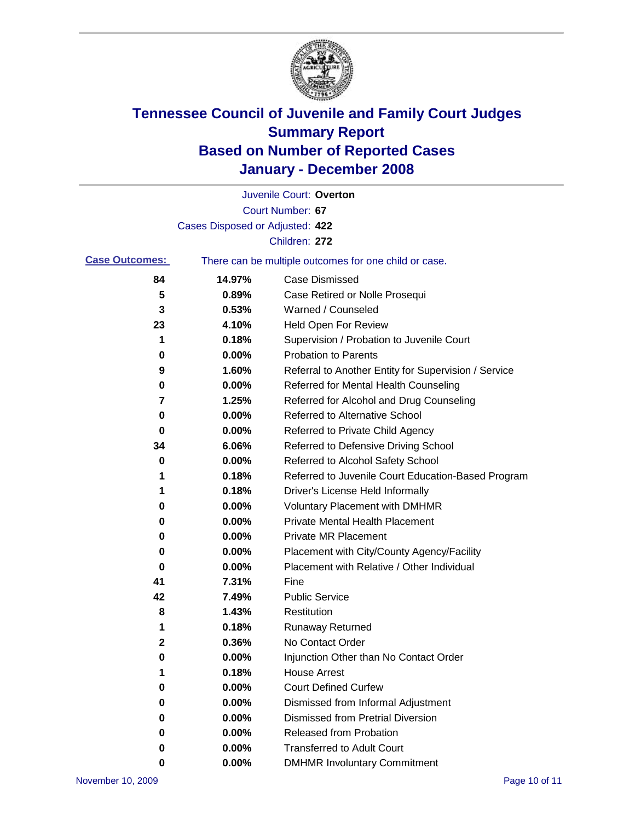

|                       |                                 | Juvenile Court: Overton                               |
|-----------------------|---------------------------------|-------------------------------------------------------|
|                       |                                 | Court Number: 67                                      |
|                       | Cases Disposed or Adjusted: 422 |                                                       |
|                       |                                 | Children: 272                                         |
| <b>Case Outcomes:</b> |                                 | There can be multiple outcomes for one child or case. |
| 84                    | 14.97%                          | <b>Case Dismissed</b>                                 |
| 5                     | 0.89%                           | Case Retired or Nolle Prosequi                        |
| 3                     | 0.53%                           | Warned / Counseled                                    |
| 23                    | 4.10%                           | Held Open For Review                                  |
| 1                     | 0.18%                           | Supervision / Probation to Juvenile Court             |
| 0                     | 0.00%                           | <b>Probation to Parents</b>                           |
| 9                     | 1.60%                           | Referral to Another Entity for Supervision / Service  |
| 0                     | 0.00%                           | Referred for Mental Health Counseling                 |
| 7                     | 1.25%                           | Referred for Alcohol and Drug Counseling              |
| 0                     | 0.00%                           | <b>Referred to Alternative School</b>                 |
| 0                     | 0.00%                           | Referred to Private Child Agency                      |
| 34                    | 6.06%                           | Referred to Defensive Driving School                  |
| 0                     | 0.00%                           | Referred to Alcohol Safety School                     |
| 1                     | 0.18%                           | Referred to Juvenile Court Education-Based Program    |
| 1                     | 0.18%                           | Driver's License Held Informally                      |
| 0                     | 0.00%                           | <b>Voluntary Placement with DMHMR</b>                 |
| 0                     | 0.00%                           | <b>Private Mental Health Placement</b>                |
| 0                     | 0.00%                           | Private MR Placement                                  |
| 0                     | 0.00%                           | Placement with City/County Agency/Facility            |
| 0                     | 0.00%                           | Placement with Relative / Other Individual            |
| 41                    | 7.31%                           | Fine                                                  |
| 42                    | 7.49%                           | <b>Public Service</b>                                 |
| 8                     | 1.43%                           | Restitution                                           |
| 1                     | 0.18%                           | <b>Runaway Returned</b>                               |
| 2                     | 0.36%                           | No Contact Order                                      |
| 0                     | 0.00%                           | Injunction Other than No Contact Order                |
| 1                     | 0.18%                           | <b>House Arrest</b>                                   |
| 0                     | 0.00%                           | <b>Court Defined Curfew</b>                           |
| 0                     | 0.00%                           | Dismissed from Informal Adjustment                    |
| 0                     | 0.00%                           | Dismissed from Pretrial Diversion                     |
| 0                     | 0.00%                           | Released from Probation                               |
| 0                     | 0.00%                           | <b>Transferred to Adult Court</b>                     |
| 0                     | 0.00%                           | <b>DMHMR Involuntary Commitment</b>                   |